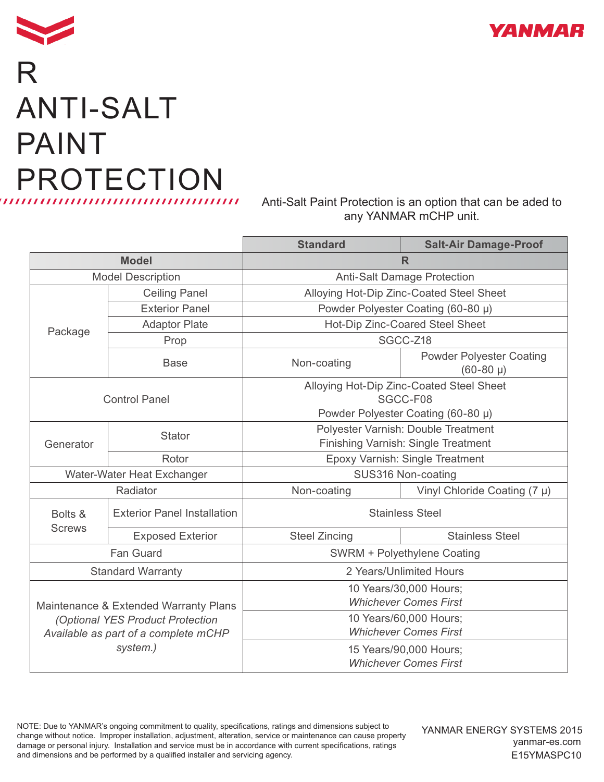



## R ANTI-SALT PAINT PROTECTION

Anti-Salt Paint Protection is an option that can be aded to any YANMAR mCHP unit.

|                                                                                                                               |                                    | <b>Standard</b>                                                            | <b>Salt-Air Damage-Proof</b>                     |
|-------------------------------------------------------------------------------------------------------------------------------|------------------------------------|----------------------------------------------------------------------------|--------------------------------------------------|
| <b>Model</b>                                                                                                                  |                                    | R                                                                          |                                                  |
| <b>Model Description</b>                                                                                                      |                                    | <b>Anti-Salt Damage Protection</b>                                         |                                                  |
| Package                                                                                                                       | <b>Ceiling Panel</b>               | Alloying Hot-Dip Zinc-Coated Steel Sheet                                   |                                                  |
|                                                                                                                               | <b>Exterior Panel</b>              | Powder Polyester Coating (60-80 µ)                                         |                                                  |
|                                                                                                                               | <b>Adaptor Plate</b>               | Hot-Dip Zinc-Coared Steel Sheet                                            |                                                  |
|                                                                                                                               | Prop                               | SGCC-Z18                                                                   |                                                  |
|                                                                                                                               | <b>Base</b>                        | Non-coating                                                                | <b>Powder Polyester Coating</b><br>$(60-80 \mu)$ |
| <b>Control Panel</b>                                                                                                          |                                    | Alloying Hot-Dip Zinc-Coated Steel Sheet<br>SGCC-F08                       |                                                  |
|                                                                                                                               |                                    | Powder Polyester Coating (60-80 µ)                                         |                                                  |
| Generator                                                                                                                     | <b>Stator</b>                      | Polyester Varnish: Double Treatment<br>Finishing Varnish: Single Treatment |                                                  |
|                                                                                                                               | Rotor                              | Epoxy Varnish: Single Treatment                                            |                                                  |
| Water-Water Heat Exchanger                                                                                                    |                                    | SUS316 Non-coating                                                         |                                                  |
| Radiator                                                                                                                      |                                    | Non-coating                                                                | Vinyl Chloride Coating (7 µ)                     |
| Bolts &<br><b>Screws</b>                                                                                                      | <b>Exterior Panel Installation</b> | <b>Stainless Steel</b>                                                     |                                                  |
|                                                                                                                               | <b>Exposed Exterior</b>            | <b>Steel Zincing</b>                                                       | <b>Stainless Steel</b>                           |
| Fan Guard                                                                                                                     |                                    | SWRM + Polyethylene Coating                                                |                                                  |
| <b>Standard Warranty</b>                                                                                                      |                                    | 2 Years/Unlimited Hours                                                    |                                                  |
| Maintenance & Extended Warranty Plans<br>(Optional YES Product Protection<br>Available as part of a complete mCHP<br>system.) |                                    | 10 Years/30,000 Hours;<br><b>Whichever Comes First</b>                     |                                                  |
|                                                                                                                               |                                    | 10 Years/60,000 Hours;<br><b>Whichever Comes First</b>                     |                                                  |
|                                                                                                                               |                                    | 15 Years/90,000 Hours;<br><b>Whichever Comes First</b>                     |                                                  |

NOTE: Due to YANMAR's ongoing commitment to quality, specifications, ratings and dimensions subject to change without notice. Improper installation, adjustment, alteration, service or maintenance can cause property damage or personal injury. Installation and service must be in accordance with current specifications, ratings and dimensions and be performed by a qualified installer and servicing agency.